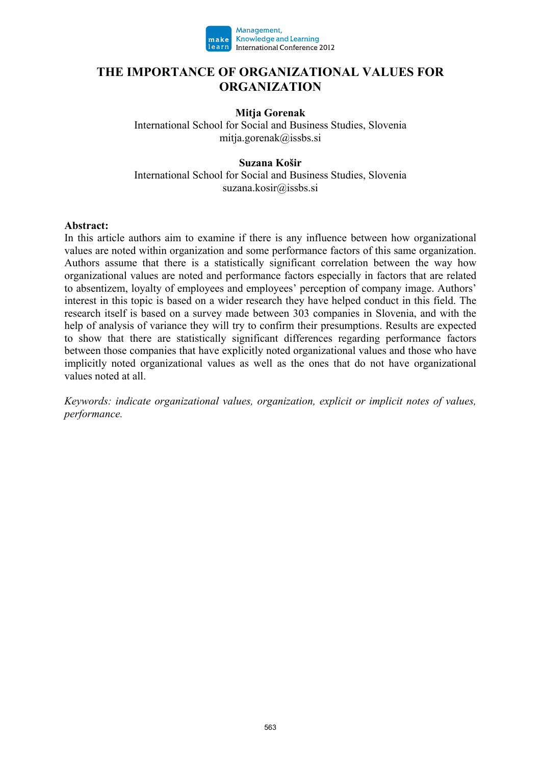

### **THE IMPORTANCE OF ORGANIZATIONAL VALUES FOR ORGANIZATION**

#### **Mitja Gorenak**

International School for Social and Business Studies, Slovenia mitja.gorenak@issbs.si

#### **Suzana Košir**

International School for Social and Business Studies, Slovenia suzana.kosir@issbs.si

#### **Abstract:**

In this article authors aim to examine if there is any influence between how organizational values are noted within organization and some performance factors of this same organization. Authors assume that there is a statistically significant correlation between the way how organizational values are noted and performance factors especially in factors that are related to absentizem, loyalty of employees and employees' perception of company image. Authors' interest in this topic is based on a wider research they have helped conduct in this field. The research itself is based on a survey made between 303 companies in Slovenia, and with the help of analysis of variance they will try to confirm their presumptions. Results are expected to show that there are statistically significant differences regarding performance factors between those companies that have explicitly noted organizational values and those who have implicitly noted organizational values as well as the ones that do not have organizational values noted at all.

*Keywords: indicate organizational values, organization, explicit or implicit notes of values, performance.*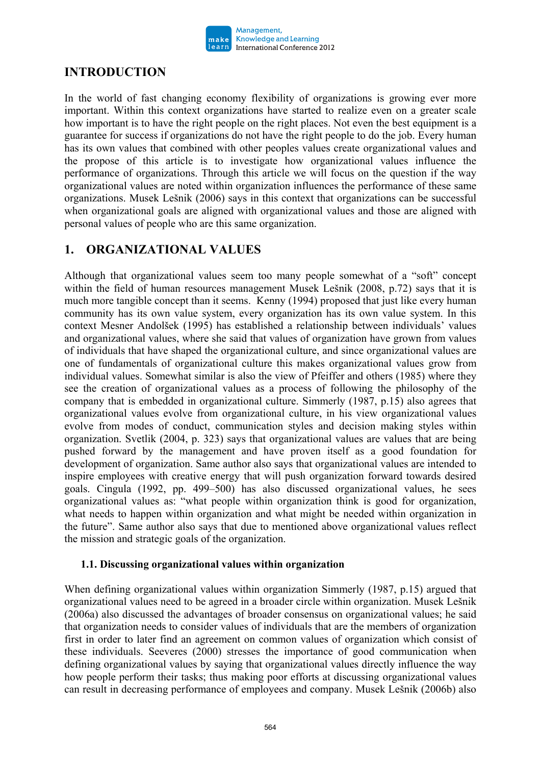

## **INTRODUCTION**

In the world of fast changing economy flexibility of organizations is growing ever more important. Within this context organizations have started to realize even on a greater scale how important is to have the right people on the right places. Not even the best equipment is a guarantee for success if organizations do not have the right people to do the job. Every human has its own values that combined with other peoples values create organizational values and the propose of this article is to investigate how organizational values influence the performance of organizations. Through this article we will focus on the question if the way organizational values are noted within organization influences the performance of these same organizations. Musek Lešnik (2006) says in this context that organizations can be successful when organizational goals are aligned with organizational values and those are aligned with personal values of people who are this same organization.

### **1. ORGANIZATIONAL VALUES**

Although that organizational values seem too many people somewhat of a "soft" concept within the field of human resources management Musek Lešnik (2008, p.72) says that it is much more tangible concept than it seems. Kenny (1994) proposed that just like every human community has its own value system, every organization has its own value system. In this context Mesner Andolšek (1995) has established a relationship between individuals' values and organizational values, where she said that values of organization have grown from values of individuals that have shaped the organizational culture, and since organizational values are one of fundamentals of organizational culture this makes organizational values grow from individual values. Somewhat similar is also the view of Pfeiffer and others (1985) where they see the creation of organizational values as a process of following the philosophy of the company that is embedded in organizational culture. Simmerly (1987, p.15) also agrees that organizational values evolve from organizational culture, in his view organizational values evolve from modes of conduct, communication styles and decision making styles within organization. Svetlik (2004, p. 323) says that organizational values are values that are being pushed forward by the management and have proven itself as a good foundation for development of organization. Same author also says that organizational values are intended to inspire employees with creative energy that will push organization forward towards desired goals. Cingula (1992, pp. 499–500) has also discussed organizational values, he sees organizational values as: "what people within organization think is good for organization, what needs to happen within organization and what might be needed within organization in the future". Same author also says that due to mentioned above organizational values reflect the mission and strategic goals of the organization.

#### **1.1. Discussing organizational values within organization**

When defining organizational values within organization Simmerly (1987, p.15) argued that organizational values need to be agreed in a broader circle within organization. Musek Lešnik (2006a) also discussed the advantages of broader consensus on organizational values; he said that organization needs to consider values of individuals that are the members of organization first in order to later find an agreement on common values of organization which consist of these individuals. Seeveres (2000) stresses the importance of good communication when defining organizational values by saying that organizational values directly influence the way how people perform their tasks; thus making poor efforts at discussing organizational values can result in decreasing performance of employees and company. Musek Lešnik (2006b) also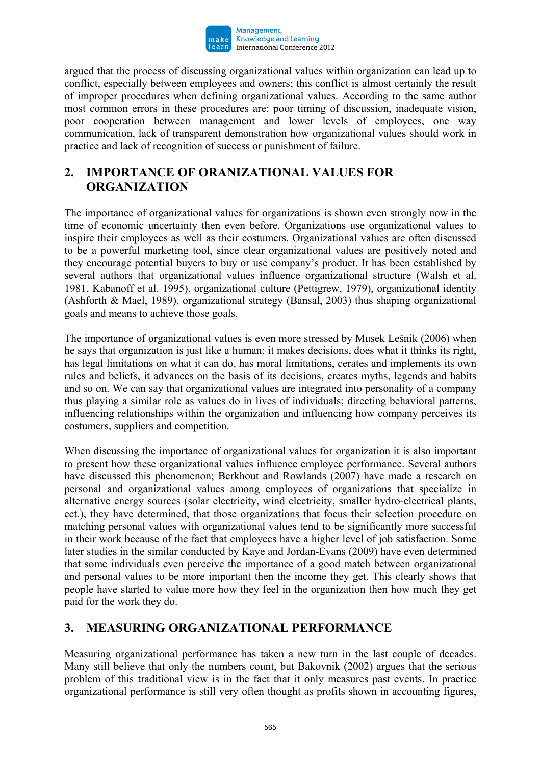

argued that the process of discussing organizational values within organization can lead up to conflict, especially between employees and owners; this conflict is almost certainly the result of improper procedures when defining organizational values. According to the same author most common errors in these procedures are: poor timing of discussion, inadequate vision, poor cooperation between management and lower levels of employees, one way communication, lack of transparent demonstration how organizational values should work in practice and lack of recognition of success or punishment of failure.

# **2. IMPORTANCE OF ORANIZATIONAL VALUES FOR ORGANIZATION**

The importance of organizational values for organizations is shown even strongly now in the time of economic uncertainty then even before. Organizations use organizational values to inspire their employees as well as their costumers. Organizational values are often discussed to be a powerful marketing tool, since clear organizational values are positively noted and they encourage potential buyers to buy or use company's product. It has been established by several authors that organizational values influence organizational structure (Walsh et al. 1981, Kabanoff et al. 1995), organizational culture (Pettigrew, 1979), organizational identity (Ashforth & Mael, 1989), organizational strategy (Bansal, 2003) thus shaping organizational goals and means to achieve those goals.

The importance of organizational values is even more stressed by Musek Lešnik (2006) when he says that organization is just like a human; it makes decisions, does what it thinks its right, has legal limitations on what it can do, has moral limitations, cerates and implements its own rules and beliefs, it advances on the basis of its decisions, creates myths, legends and habits and so on. We can say that organizational values are integrated into personality of a company thus playing a similar role as values do in lives of individuals; directing behavioral patterns, influencing relationships within the organization and influencing how company perceives its costumers, suppliers and competition.

When discussing the importance of organizational values for organization it is also important to present how these organizational values influence employee performance. Several authors have discussed this phenomenon; Berkhout and Rowlands (2007) have made a research on personal and organizational values among employees of organizations that specialize in alternative energy sources (solar electricity, wind electricity, smaller hydro-electrical plants, ect.), they have determined, that those organizations that focus their selection procedure on matching personal values with organizational values tend to be significantly more successful in their work because of the fact that employees have a higher level of job satisfaction. Some later studies in the similar conducted by Kaye and Jordan-Evans (2009) have even determined that some individuals even perceive the importance of a good match between organizational and personal values to be more important then the income they get. This clearly shows that people have started to value more how they feel in the organization then how much they get paid for the work they do.

## **3. MEASURING ORGANIZATIONAL PERFORMANCE**

Measuring organizational performance has taken a new turn in the last couple of decades. Many still believe that only the numbers count, but Bakovnik (2002) argues that the serious problem of this traditional view is in the fact that it only measures past events. In practice organizational performance is still very often thought as profits shown in accounting figures,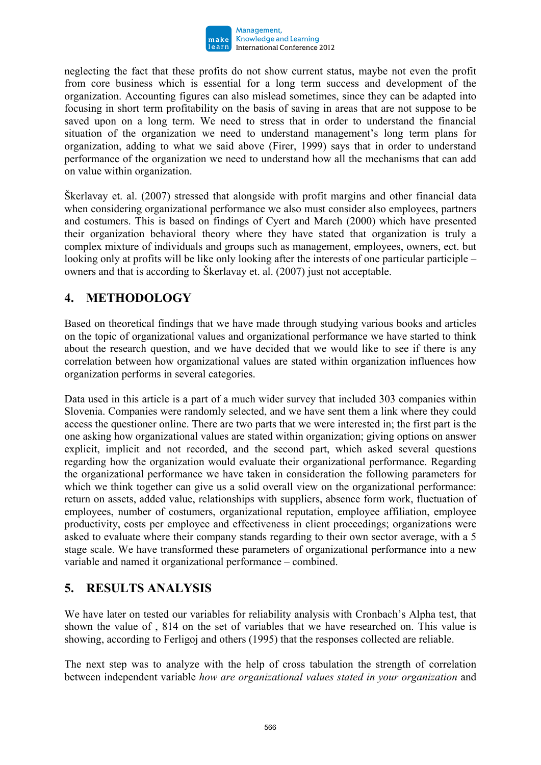

neglecting the fact that these profits do not show current status, maybe not even the profit from core business which is essential for a long term success and development of the organization. Accounting figures can also mislead sometimes, since they can be adapted into focusing in short term profitability on the basis of saving in areas that are not suppose to be saved upon on a long term. We need to stress that in order to understand the financial situation of the organization we need to understand management's long term plans for organization, adding to what we said above (Firer, 1999) says that in order to understand performance of the organization we need to understand how all the mechanisms that can add on value within organization.

Škerlavay et. al. (2007) stressed that alongside with profit margins and other financial data when considering organizational performance we also must consider also employees, partners and costumers. This is based on findings of Cyert and March (2000) which have presented their organization behavioral theory where they have stated that organization is truly a complex mixture of individuals and groups such as management, employees, owners, ect. but looking only at profits will be like only looking after the interests of one particular participle – owners and that is according to Škerlavay et. al. (2007) just not acceptable.

# **4. METHODOLOGY**

Based on theoretical findings that we have made through studying various books and articles on the topic of organizational values and organizational performance we have started to think about the research question, and we have decided that we would like to see if there is any correlation between how organizational values are stated within organization influences how organization performs in several categories.

Data used in this article is a part of a much wider survey that included 303 companies within Slovenia. Companies were randomly selected, and we have sent them a link where they could access the questioner online. There are two parts that we were interested in; the first part is the one asking how organizational values are stated within organization; giving options on answer explicit, implicit and not recorded, and the second part, which asked several questions regarding how the organization would evaluate their organizational performance. Regarding the organizational performance we have taken in consideration the following parameters for which we think together can give us a solid overall view on the organizational performance: return on assets, added value, relationships with suppliers, absence form work, fluctuation of employees, number of costumers, organizational reputation, employee affiliation, employee productivity, costs per employee and effectiveness in client proceedings; organizations were asked to evaluate where their company stands regarding to their own sector average, with a 5 stage scale. We have transformed these parameters of organizational performance into a new variable and named it organizational performance – combined.

## **5. RESULTS ANALYSIS**

We have later on tested our variables for reliability analysis with Cronbach's Alpha test, that shown the value of , 814 on the set of variables that we have researched on. This value is showing, according to Ferligoj and others (1995) that the responses collected are reliable.

The next step was to analyze with the help of cross tabulation the strength of correlation between independent variable *how are organizational values stated in your organization* and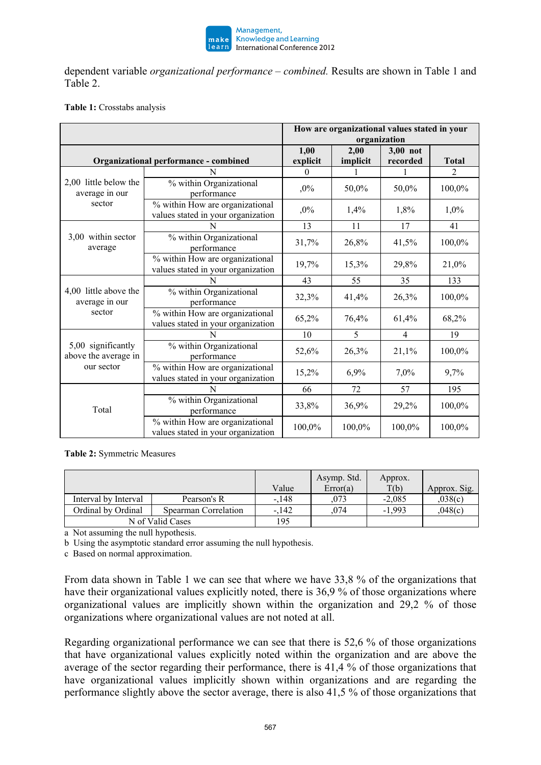

dependent variable *organizational performance – combined.* Results are shown in Table 1 and Table 2.

#### **Table 1:** Crosstabs analysis

|                                                          |                                                                       | How are organizational values stated in your<br>organization |          |                |                |
|----------------------------------------------------------|-----------------------------------------------------------------------|--------------------------------------------------------------|----------|----------------|----------------|
|                                                          |                                                                       | 1,00                                                         | 2,00     | 3,00 not       |                |
| Organizational performance - combined                    |                                                                       | explicit                                                     | implicit | recorded       | <b>Total</b>   |
| 2,00 little below the<br>average in our<br>sector        | N                                                                     | 0                                                            |          |                | $\mathfrak{D}$ |
|                                                          | % within Organizational<br>performance                                | $,0\%$                                                       | 50,0%    | 50,0%          | 100,0%         |
|                                                          | % within How are organizational<br>values stated in your organization | $,0\%$                                                       | 1,4%     | 1,8%           | 1,0%           |
| 3,00 within sector<br>average                            | N                                                                     | 13                                                           | 11       | 17             | 41             |
|                                                          | % within Organizational<br>performance                                | 31,7%                                                        | 26,8%    | 41,5%          | 100,0%         |
|                                                          | % within How are organizational<br>values stated in your organization | 19,7%                                                        | 15,3%    | 29,8%          | 21,0%          |
| 4,00 little above the<br>average in our<br>sector        | N                                                                     | 43                                                           | 55       | 35             | 133            |
|                                                          | % within Organizational<br>performance                                | 32,3%                                                        | 41,4%    | 26,3%          | 100,0%         |
|                                                          | % within How are organizational<br>values stated in your organization | 65,2%                                                        | 76,4%    | 61,4%          | 68,2%          |
| 5,00 significantly<br>above the average in<br>our sector | N                                                                     | 10                                                           | 5        | $\overline{4}$ | 19             |
|                                                          | % within Organizational<br>performance                                | 52,6%                                                        | 26,3%    | 21,1%          | 100,0%         |
|                                                          | % within How are organizational<br>values stated in your organization | 15,2%                                                        | 6,9%     | 7,0%           | 9,7%           |
| Total                                                    | N                                                                     | 66                                                           | 72       | 57             | 195            |
|                                                          | % within Organizational<br>performance                                | 33,8%                                                        | 36,9%    | 29,2%          | 100,0%         |
|                                                          | % within How are organizational<br>values stated in your organization | 100,0%                                                       | 100,0%   | 100,0%         | 100,0%         |

**Table 2:** Symmetric Measures

|                      |                      | Value   | Asymp. Std.<br>Error(a) | Approx.<br>T(b) | Approx. Sig. |
|----------------------|----------------------|---------|-------------------------|-----------------|--------------|
| Interval by Interval | Pearson's R          | $-.148$ | ,073                    | $-2,085$        | 0.038(c)     |
| Ordinal by Ordinal   | Spearman Correlation | -.142   | 074                     | $-1.993$        | 0.048(c)     |
| N of Valid Cases     |                      | 195     |                         |                 |              |

a Not assuming the null hypothesis.

b Using the asymptotic standard error assuming the null hypothesis.

c Based on normal approximation.

From data shown in Table 1 we can see that where we have 33,8 % of the organizations that have their organizational values explicitly noted, there is 36,9 % of those organizations where organizational values are implicitly shown within the organization and 29,2 % of those organizations where organizational values are not noted at all.

Regarding organizational performance we can see that there is 52,6 % of those organizations that have organizational values explicitly noted within the organization and are above the average of the sector regarding their performance, there is 41,4 % of those organizations that have organizational values implicitly shown within organizations and are regarding the performance slightly above the sector average, there is also 41,5 % of those organizations that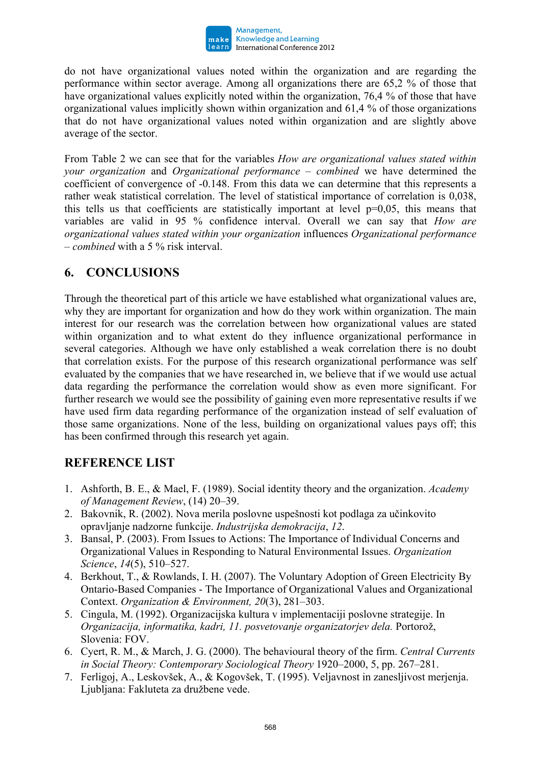

do not have organizational values noted within the organization and are regarding the performance within sector average. Among all organizations there are 65,2 % of those that have organizational values explicitly noted within the organization, 76,4 % of those that have organizational values implicitly shown within organization and 61,4 % of those organizations that do not have organizational values noted within organization and are slightly above average of the sector.

From Table 2 we can see that for the variables *How are organizational values stated within your organization* and *Organizational performance – combined* we have determined the coefficient of convergence of -0.148. From this data we can determine that this represents a rather weak statistical correlation. The level of statistical importance of correlation is 0,038, this tells us that coefficients are statistically important at level  $p=0.05$ , this means that variables are valid in 95 % confidence interval. Overall we can say that *How are organizational values stated within your organization* influences *Organizational performance – combined* with a 5 % risk interval.

### **6. CONCLUSIONS**

Through the theoretical part of this article we have established what organizational values are, why they are important for organization and how do they work within organization. The main interest for our research was the correlation between how organizational values are stated within organization and to what extent do they influence organizational performance in several categories. Although we have only established a weak correlation there is no doubt that correlation exists. For the purpose of this research organizational performance was self evaluated by the companies that we have researched in, we believe that if we would use actual data regarding the performance the correlation would show as even more significant. For further research we would see the possibility of gaining even more representative results if we have used firm data regarding performance of the organization instead of self evaluation of those same organizations. None of the less, building on organizational values pays off; this has been confirmed through this research yet again.

### **REFERENCE LIST**

- 1. Ashforth, B. E., & Mael, F. (1989). Social identity theory and the organization. *Academy of Management Review*, (14) 20–39.
- 2. Bakovnik, R. (2002). Nova merila poslovne uspešnosti kot podlaga za učinkovito opravljanje nadzorne funkcije. *Industrijska demokracija*, *12*.
- 3. Bansal, P. (2003). From Issues to Actions: The Importance of Individual Concerns and Organizational Values in Responding to Natural Environmental Issues. *Organization Science*, *14*(5), 510–527.
- 4. Berkhout, T., & Rowlands, I. H. (2007). The Voluntary Adoption of Green Electricity By Ontario-Based Companies - The Importance of Organizational Values and Organizational Context. *Organization & Environment, 20*(3), 281–303.
- 5. Cingula, M. (1992). Organizacijska kultura v implementaciji poslovne strategije. In *Organizacija, informatika, kadri, 11. posvetovanje organizatorjev dela.* Portorož, Slovenia: FOV.
- 6. Cyert, R. M., & March, J. G. (2000). The behavioural theory of the firm. *Central Currents in Social Theory: Contemporary Sociological Theory* 1920–2000, 5, pp. 267–281.
- 7. Ferligoj, A., Leskovšek, A., & Kogovšek, T. (1995). Veljavnost in zanesljivost merjenja. Ljubljana: Fakluteta za družbene vede.